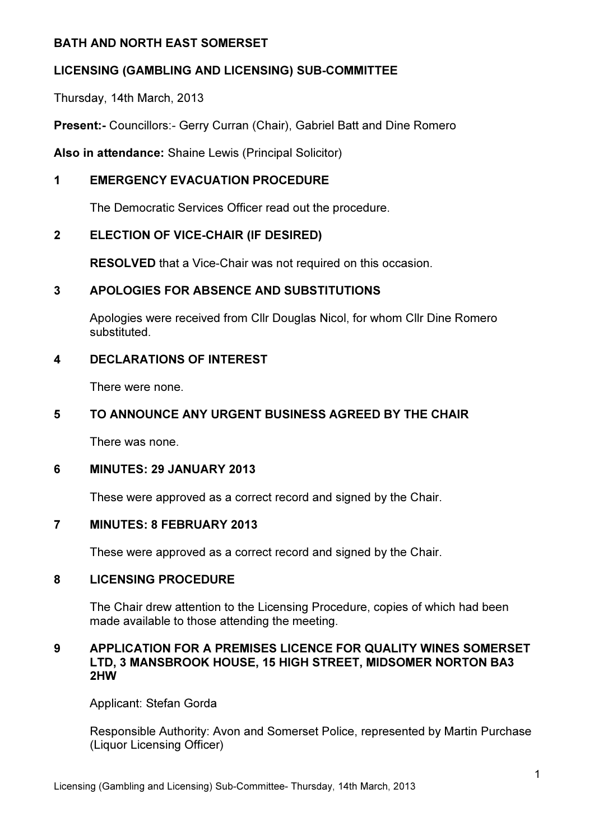#### BATH AND NORTH EAST SOMERSET

# LICENSING (GAMBLING AND LICENSING) SUB-COMMITTEE

Thursday, 14th March, 2013

Present:- Councillors:- Gerry Curran (Chair), Gabriel Batt and Dine Romero

Also in attendance: Shaine Lewis (Principal Solicitor)

# 1 EMERGENCY EVACUATION PROCEDURE

The Democratic Services Officer read out the procedure.

## 2 ELECTION OF VICE-CHAIR (IF DESIRED)

RESOLVED that a Vice-Chair was not required on this occasion.

## 3 APOLOGIES FOR ABSENCE AND SUBSTITUTIONS

Apologies were received from Cllr Douglas Nicol, for whom Cllr Dine Romero substituted.

## 4 DECLARATIONS OF INTEREST

There were none.

#### 5 TO ANNOUNCE ANY URGENT BUSINESS AGREED BY THE CHAIR

There was none.

# 6 MINUTES: 29 JANUARY 2013

These were approved as a correct record and signed by the Chair.

#### 7 MINUTES: 8 FEBRUARY 2013

These were approved as a correct record and signed by the Chair.

#### 8 LICENSING PROCEDURE

The Chair drew attention to the Licensing Procedure, copies of which had been made available to those attending the meeting.

#### 9 APPLICATION FOR A PREMISES LICENCE FOR QUALITY WINES SOMERSET LTD, 3 MANSBROOK HOUSE, 15 HIGH STREET, MIDSOMER NORTON BA3 2HW

Applicant: Stefan Gorda

Responsible Authority: Avon and Somerset Police, represented by Martin Purchase (Liquor Licensing Officer)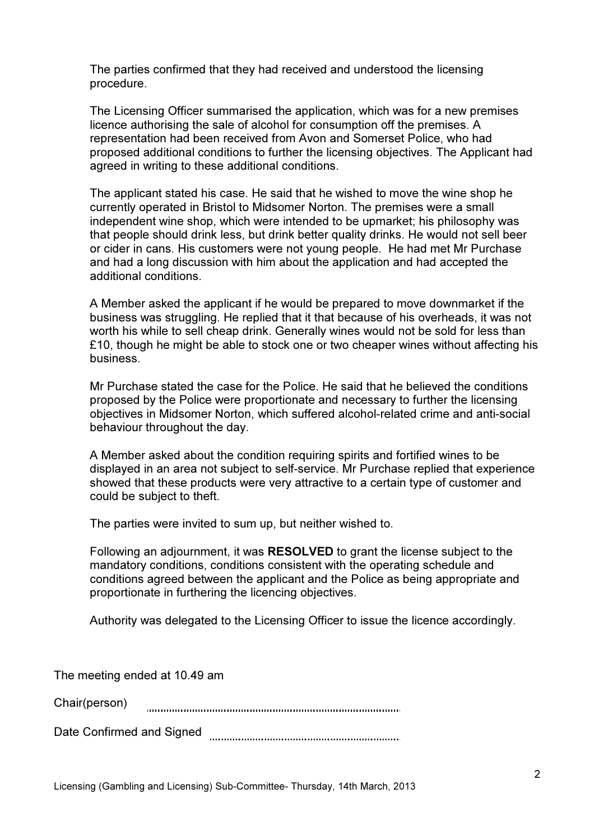The parties confirmed that they had received and understood the licensing procedure.

The Licensing Officer summarised the application, which was for a new premises licence authorising the sale of alcohol for consumption off the premises. A representation had been received from Avon and Somerset Police, who had proposed additional conditions to further the licensing objectives. The Applicant had agreed in writing to these additional conditions.

The applicant stated his case. He said that he wished to move the wine shop he currently operated in Bristol to Midsomer Norton. The premises were a small independent wine shop, which were intended to be upmarket; his philosophy was that people should drink less, but drink better quality drinks. He would not sell beer or cider in cans. His customers were not young people. He had met Mr Purchase and had a long discussion with him about the application and had accepted the additional conditions.

A Member asked the applicant if he would be prepared to move downmarket if the business was struggling. He replied that it that because of his overheads, it was not worth his while to sell cheap drink. Generally wines would not be sold for less than £10, though he might be able to stock one or two cheaper wines without affecting his business.

Mr Purchase stated the case for the Police. He said that he believed the conditions proposed by the Police were proportionate and necessary to further the licensing objectives in Midsomer Norton, which suffered alcohol-related crime and anti-social behaviour throughout the day.

A Member asked about the condition requiring spirits and fortified wines to be displayed in an area not subject to self-service. Mr Purchase replied that experience showed that these products were very attractive to a certain type of customer and could be subject to theft.

The parties were invited to sum up, but neither wished to.

Following an adjournment, it was RESOLVED to grant the license subject to the mandatory conditions, conditions consistent with the operating schedule and conditions agreed between the applicant and the Police as being appropriate and proportionate in furthering the licencing objectives.

Authority was delegated to the Licensing Officer to issue the licence accordingly.

The meeting ended at 10.49 am

Chair(person) 

Date Confirmed and Signed